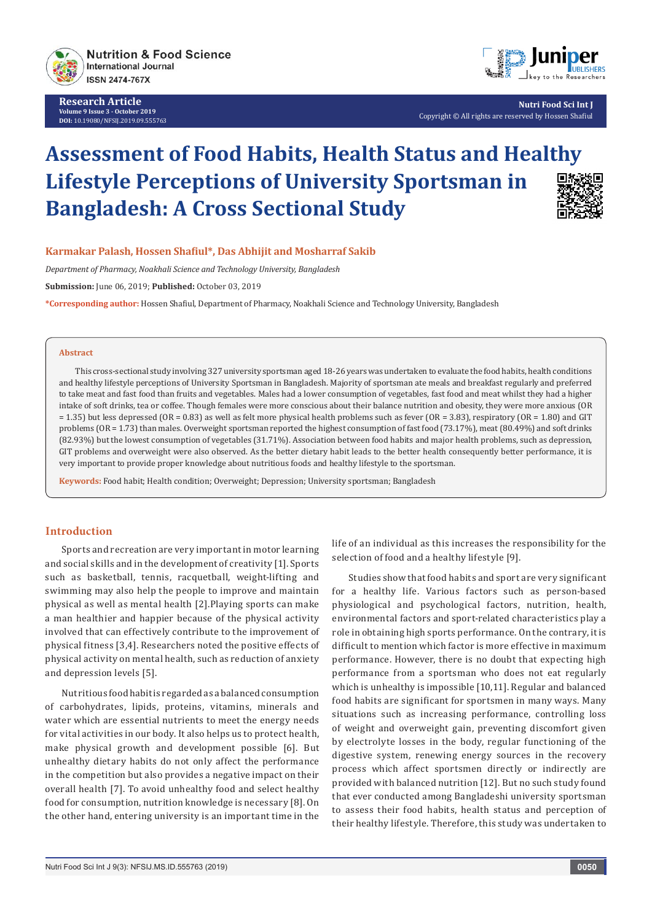

**Research Article Volume 9 Issue 3 - October 2019 DOI:** [10.19080/NFSIJ.2019.09.555763](http://dx.doi.org/10.19080/NFSIJ.2019.09.555763)



**Nutri Food Sci Int J** Copyright © All rights are reserved by Hossen Shafiul

# **Assessment of Food Habits, Health Status and Healthy Lifestyle Perceptions of University Sportsman in Bangladesh: A Cross Sectional Study**



## **Karmakar Palash, Hossen Shafiul\*, Das Abhijit and Mosharraf Sakib**

*Department of Pharmacy, Noakhali Science and Technology University, Bangladesh* 

**Submission:** June 06, 2019; **Published:** October 03, 2019

**\*Corresponding author:** Hossen Shafiul, Department of Pharmacy, Noakhali Science and Technology University, Bangladesh

#### **Abstract**

This cross-sectional study involving 327 university sportsman aged 18-26 years was undertaken to evaluate the food habits, health conditions and healthy lifestyle perceptions of University Sportsman in Bangladesh. Majority of sportsman ate meals and breakfast regularly and preferred to take meat and fast food than fruits and vegetables. Males had a lower consumption of vegetables, fast food and meat whilst they had a higher intake of soft drinks, tea or coffee. Though females were more conscious about their balance nutrition and obesity, they were more anxious (OR = 1.35) but less depressed (OR = 0.83) as well as felt more physical health problems such as fever (OR = 3.83), respiratory (OR = 1.80) and GIT problems (OR = 1.73) than males. Overweight sportsman reported the highest consumption of fast food (73.17%), meat (80.49%) and soft drinks (82.93%) but the lowest consumption of vegetables (31.71%). Association between food habits and major health problems, such as depression, GIT problems and overweight were also observed. As the better dietary habit leads to the better health consequently better performance, it is very important to provide proper knowledge about nutritious foods and healthy lifestyle to the sportsman.

**Keywords:** Food habit; Health condition; Overweight; Depression; University sportsman; Bangladesh

## **Introduction**

Sports and recreation are very important in motor learning and social skills and in the development of creativity [1]. Sports such as basketball, tennis, racquetball, weight-lifting and swimming may also help the people to improve and maintain physical as well as mental health [2].Playing sports can make a man healthier and happier because of the physical activity involved that can effectively contribute to the improvement of physical fitness [3,4]. Researchers noted the positive effects of physical activity on mental health, such as reduction of anxiety and depression levels [5].

Nutritious food habit is regarded as a balanced consumption of carbohydrates, lipids, proteins, vitamins, minerals and water which are essential nutrients to meet the energy needs for vital activities in our body. It also helps us to protect health, make physical growth and development possible [6]. But unhealthy dietary habits do not only affect the performance in the competition but also provides a negative impact on their overall health [7]. To avoid unhealthy food and select healthy food for consumption, nutrition knowledge is necessary [8]. On the other hand, entering university is an important time in the

life of an individual as this increases the responsibility for the selection of food and a healthy lifestyle [9].

Studies show that food habits and sport are very significant for a healthy life. Various factors such as person-based physiological and psychological factors, nutrition, health, environmental factors and sport-related characteristics play a role in obtaining high sports performance. On the contrary, it is difficult to mention which factor is more effective in maximum performance. However, there is no doubt that expecting high performance from a sportsman who does not eat regularly which is unhealthy is impossible [10,11]. Regular and balanced food habits are significant for sportsmen in many ways. Many situations such as increasing performance, controlling loss of weight and overweight gain, preventing discomfort given by electrolyte losses in the body, regular functioning of the digestive system, renewing energy sources in the recovery process which affect sportsmen directly or indirectly are provided with balanced nutrition [12]. But no such study found that ever conducted among Bangladeshi university sportsman to assess their food habits, health status and perception of their healthy lifestyle. Therefore, this study was undertaken to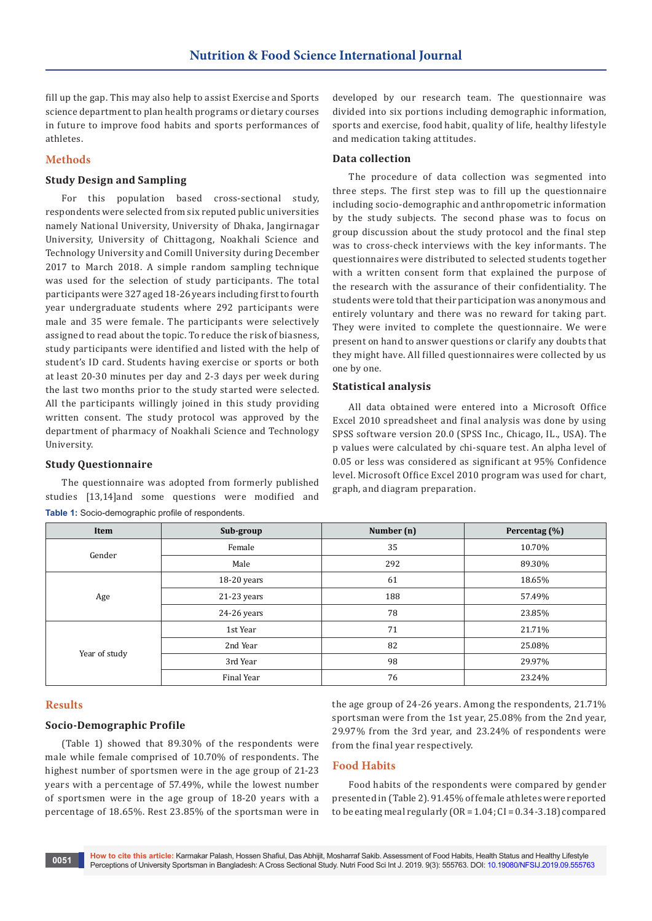fill up the gap. This may also help to assist Exercise and Sports science department to plan health programs or dietary courses in future to improve food habits and sports performances of athletes.

## **Methods**

## **Study Design and Sampling**

For this population based cross-sectional study, respondents were selected from six reputed public universities namely National University, University of Dhaka, Jangirnagar University, University of Chittagong, Noakhali Science and Technology University and Comill University during December 2017 to March 2018. A simple random sampling technique was used for the selection of study participants. The total participants were 327 aged 18-26 years including first to fourth year undergraduate students where 292 participants were male and 35 were female. The participants were selectively assigned to read about the topic. To reduce the risk of biasness, study participants were identified and listed with the help of student's ID card. Students having exercise or sports or both at least 20-30 minutes per day and 2-3 days per week during the last two months prior to the study started were selected. All the participants willingly joined in this study providing written consent. The study protocol was approved by the department of pharmacy of Noakhali Science and Technology University.

## **Study Questionnaire**

The questionnaire was adopted from formerly published studies [13,14]and some questions were modified and **Table 1:** Socio-demographic profile of respondents.

developed by our research team. The questionnaire was divided into six portions including demographic information, sports and exercise, food habit, quality of life, healthy lifestyle and medication taking attitudes.

## **Data collection**

The procedure of data collection was segmented into three steps. The first step was to fill up the questionnaire including socio-demographic and anthropometric information by the study subjects. The second phase was to focus on group discussion about the study protocol and the final step was to cross-check interviews with the key informants. The questionnaires were distributed to selected students together with a written consent form that explained the purpose of the research with the assurance of their confidentiality. The students were told that their participation was anonymous and entirely voluntary and there was no reward for taking part. They were invited to complete the questionnaire. We were present on hand to answer questions or clarify any doubts that they might have. All filled questionnaires were collected by us one by one.

### **Statistical analysis**

All data obtained were entered into a Microsoft Office Excel 2010 spreadsheet and final analysis was done by using SPSS software version 20.0 (SPSS Inc., Chicago, IL., USA). The p values were calculated by chi-square test. An alpha level of 0.05 or less was considered as significant at 95% Confidence level. Microsoft Office Excel 2010 program was used for chart, graph, and diagram preparation.

| Item          | Sub-group   | Number (n) | Percentag (%) |  |
|---------------|-------------|------------|---------------|--|
|               | Female      | 35         | 10.70%        |  |
| Gender        | Male        | 292        | 89.30%        |  |
|               | 18-20 years | 61         | 18.65%        |  |
| Age           | 21-23 years | 188        | 57.49%        |  |
|               | 24-26 years | 78         | 23.85%        |  |
|               | 1st Year    | 71         | 21.71%        |  |
|               | 2nd Year    | 82         | 25.08%        |  |
| Year of study | 3rd Year    | 98         | 29.97%        |  |
|               | Final Year  | 76         | 23.24%        |  |

# **Results**

## **Socio-Demographic Profile**

(Table 1) showed that 89.30% of the respondents were male while female comprised of 10.70% of respondents. The highest number of sportsmen were in the age group of 21-23 years with a percentage of 57.49%, while the lowest number of sportsmen were in the age group of 18-20 years with a percentage of 18.65%. Rest 23.85% of the sportsman were in

the age group of 24-26 years. Among the respondents, 21.71% sportsman were from the 1st year, 25.08% from the 2nd year, 29.97% from the 3rd year, and 23.24% of respondents were from the final year respectively.

## **Food Habits**

Food habits of the respondents were compared by gender presented in (Table 2). 91.45% of female athletes were reported to be eating meal regularly  $(OR = 1.04; CI = 0.34-3.18)$  compared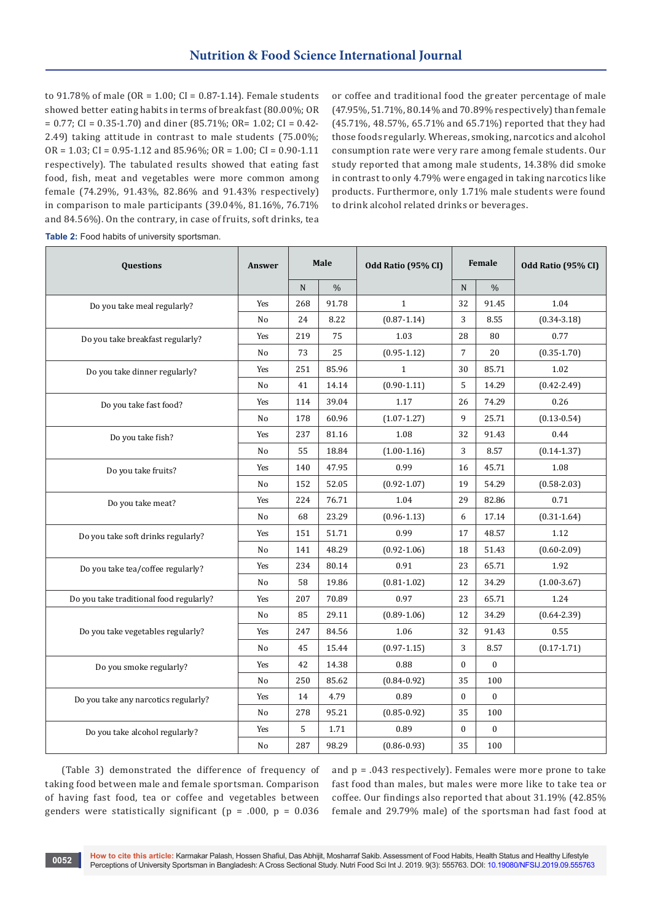to 91.78% of male (OR =  $1.00$ ; CI =  $0.87$ -1.14). Female students showed better eating habits in terms of breakfast (80.00%; OR  $= 0.77$ ; CI = 0.35-1.70) and diner (85.71%; OR= 1.02; CI = 0.42-2.49) taking attitude in contrast to male students (75.00%;  $OR = 1.03$ ;  $CI = 0.95 - 1.12$  and  $85.96\%$ ;  $OR = 1.00$ ;  $CI = 0.90 - 1.11$ respectively). The tabulated results showed that eating fast food, fish, meat and vegetables were more common among female (74.29%, 91.43%, 82.86% and 91.43% respectively) in comparison to male participants (39.04%, 81.16%, 76.71% and 84.56%). On the contrary, in case of fruits, soft drinks, tea

or coffee and traditional food the greater percentage of male (47.95%, 51.71%, 80.14% and 70.89% respectively) than female (45.71%, 48.57%, 65.71% and 65.71%) reported that they had those foods regularly. Whereas, smoking, narcotics and alcohol consumption rate were very rare among female students. Our study reported that among male students, 14.38% did smoke in contrast to only 4.79% were engaged in taking narcotics like products. Furthermore, only 1.71% male students were found to drink alcohol related drinks or beverages.

| Questions                               | Answer         | Male |               | Odd Ratio (95% CI) |                | Female        | Odd Ratio (95% CI) |
|-----------------------------------------|----------------|------|---------------|--------------------|----------------|---------------|--------------------|
|                                         |                | N    | $\frac{0}{0}$ |                    | N              | $\frac{0}{0}$ |                    |
| Do you take meal regularly?             | Yes            | 268  | 91.78         | $\mathbf{1}$       | 32             | 91.45         | 1.04               |
|                                         | No             | 24   | 8.22          | $(0.87 - 1.14)$    | 3              | 8.55          | $(0.34 - 3.18)$    |
| Do you take breakfast regularly?        | Yes            | 219  | 75            | 1.03               | 28             | 80            | 0.77               |
|                                         | No             | 73   | 25            | $(0.95 - 1.12)$    | $\overline{7}$ | 20            | $(0.35 - 1.70)$    |
| Do you take dinner regularly?           | Yes            | 251  | 85.96         | $\mathbf{1}$       | 30             | 85.71         | 1.02               |
|                                         | N <sub>o</sub> | 41   | 14.14         | $(0.90 - 1.11)$    | 5              | 14.29         | $(0.42 - 2.49)$    |
| Do you take fast food?                  | Yes            | 114  | 39.04         | 1.17               | 26             | 74.29         | 0.26               |
|                                         | No             | 178  | 60.96         | $(1.07 - 1.27)$    | 9              | 25.71         | $(0.13 - 0.54)$    |
| Do you take fish?                       | Yes            | 237  | 81.16         | 1.08               | 32             | 91.43         | 0.44               |
|                                         | N <sub>o</sub> | 55   | 18.84         | $(1.00 - 1.16)$    | 3              | 8.57          | $(0.14 - 1.37)$    |
| Do you take fruits?                     | Yes            | 140  | 47.95         | 0.99               | 16             | 45.71         | 1.08               |
|                                         | No             | 152  | 52.05         | $(0.92 - 1.07)$    | 19             | 54.29         | $(0.58 - 2.03)$    |
| Do you take meat?                       | Yes            | 224  | 76.71         | 1.04               | 29<br>82.86    |               | 0.71               |
|                                         | No             | 68   | 23.29         | $(0.96 - 1.13)$    | 6              | 17.14         | $(0.31 - 1.64)$    |
| Do you take soft drinks regularly?      | Yes            | 151  | 51.71         | 0.99               | 17             | 48.57         | 1.12               |
|                                         | No             | 141  | 48.29         | $(0.92 - 1.06)$    | 18             | 51.43         | $(0.60 - 2.09)$    |
| Do you take tea/coffee regularly?       | Yes            | 234  | 80.14         | 0.91               | 23             | 65.71         | 1.92               |
|                                         | No             | 58   | 19.86         | $(0.81 - 1.02)$    | 12             | 34.29         | $(1.00 - 3.67)$    |
| Do you take traditional food regularly? | Yes            | 207  | 70.89         | 0.97               | 23             | 65.71         | 1.24               |
|                                         | No             | 85   | 29.11         | $(0.89 - 1.06)$    | 12             | 34.29         | $(0.64 - 2.39)$    |
| Do you take vegetables regularly?       | Yes            | 247  | 84.56         | 1.06               | 32             | 91.43         | 0.55               |
|                                         | No             | 45   | 15.44         | $(0.97 - 1.15)$    | 3              | 8.57          | $(0.17 - 1.71)$    |
| Do you smoke regularly?                 | Yes            | 42   | 14.38         | 0.88               | $\mathbf{0}$   | $\mathbf{0}$  |                    |
|                                         | No             | 250  | 85.62         | $(0.84 - 0.92)$    | 35             | 100           |                    |
| Do you take any narcotics regularly?    | Yes            | 14   | 4.79          | 0.89               | $\mathbf{0}$   | $\bf{0}$      |                    |
|                                         | N <sub>o</sub> | 278  | 95.21         | $(0.85 - 0.92)$    | 35             | 100           |                    |
| Do you take alcohol regularly?          | Yes            | 5    | 1.71          | 0.89               | $\bf{0}$       | $\bf{0}$      |                    |
|                                         | No             | 287  | 98.29         | $(0.86 - 0.93)$    | 35             | 100           |                    |

**Table 2:** Food habits of university sportsman.

(Table 3) demonstrated the difference of frequency of taking food between male and female sportsman. Comparison of having fast food, tea or coffee and vegetables between genders were statistically significant ( $p = .000$ ,  $p = 0.036$ )

and  $p = .043$  respectively). Females were more prone to take fast food than males, but males were more like to take tea or coffee. Our findings also reported that about 31.19% (42.85% female and 29.79% male) of the sportsman had fast food at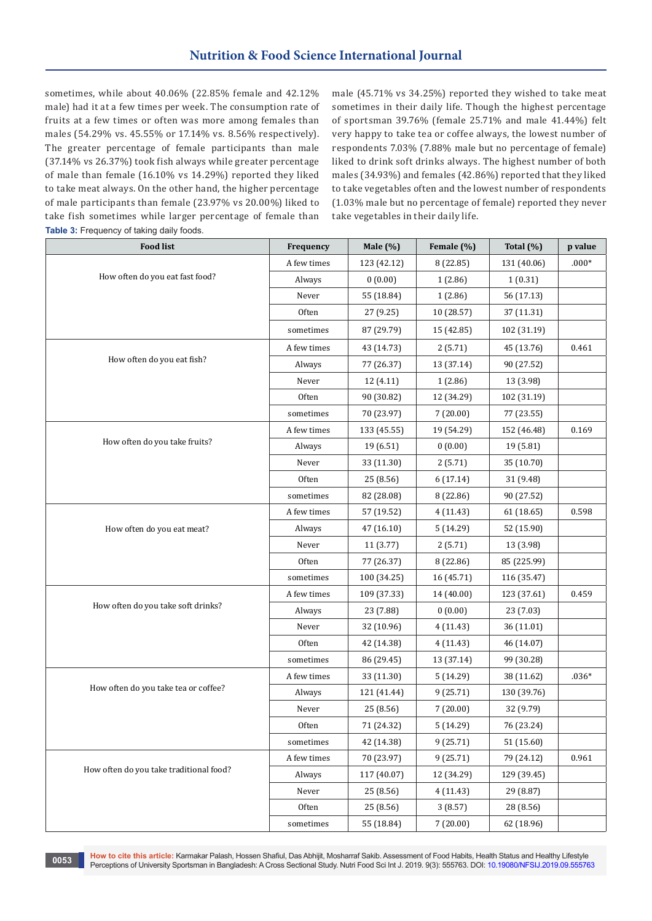sometimes, while about 40.06% (22.85% female and 42.12% male) had it at a few times per week. The consumption rate of fruits at a few times or often was more among females than males (54.29% vs. 45.55% or 17.14% vs. 8.56% respectively). The greater percentage of female participants than male (37.14% vs 26.37%) took fish always while greater percentage of male than female (16.10% vs 14.29%) reported they liked to take meat always. On the other hand, the higher percentage of male participants than female (23.97% vs 20.00%) liked to take fish sometimes while larger percentage of female than **Table 3:** Frequency of taking daily foods.

male (45.71% vs 34.25%) reported they wished to take meat sometimes in their daily life. Though the highest percentage of sportsman 39.76% (female 25.71% and male 41.44%) felt very happy to take tea or coffee always, the lowest number of respondents 7.03% (7.88% male but no percentage of female) liked to drink soft drinks always. The highest number of both males (34.93%) and females (42.86%) reported that they liked to take vegetables often and the lowest number of respondents (1.03% male but no percentage of female) reported they never take vegetables in their daily life.

| <b>Food list</b>                        | Frequency   | Male $(\%)$ | Female (%) | Total $(\%)$ | p value |
|-----------------------------------------|-------------|-------------|------------|--------------|---------|
|                                         | A few times | 123 (42.12) | 8 (22.85)  | 131 (40.06)  | $.000*$ |
| How often do you eat fast food?         | Always      | 0(0.00)     | 1(2.86)    | 1(0.31)      |         |
|                                         | Never       | 55 (18.84)  | 1(2.86)    | 56 (17.13)   |         |
|                                         | Often       | 27 (9.25)   | 10 (28.57) | 37 (11.31)   |         |
|                                         | sometimes   | 87 (29.79)  | 15 (42.85) | 102 (31.19)  |         |
|                                         | A few times | 43 (14.73)  | 2(5.71)    | 45 (13.76)   | 0.461   |
| How often do you eat fish?              | Always      | 77 (26.37)  | 13 (37.14) | 90 (27.52)   |         |
|                                         | Never       | 12(4.11)    | 1(2.86)    | 13 (3.98)    |         |
|                                         | Often       | 90 (30.82)  | 12 (34.29) | 102 (31.19)  |         |
|                                         | sometimes   | 70 (23.97)  | 7(20.00)   | 77 (23.55)   |         |
|                                         | A few times | 133 (45.55) | 19 (54.29) | 152 (46.48)  | 0.169   |
| How often do you take fruits?           | Always      | 19 (6.51)   | 0(0.00)    | 19 (5.81)    |         |
|                                         | Never       | 33 (11.30)  | 2(5.71)    | 35 (10.70)   |         |
|                                         | Often       | 25 (8.56)   | 6(17.14)   | 31 (9.48)    |         |
|                                         | sometimes   | 82 (28.08)  | 8 (22.86)  | 90 (27.52)   |         |
|                                         | A few times | 57 (19.52)  | 4(11.43)   | 61 (18.65)   | 0.598   |
| How often do you eat meat?              | Always      | 47 (16.10)  | 5(14.29)   | 52 (15.90)   |         |
|                                         | Never       | 11(3.77)    | 2(5.71)    | 13 (3.98)    |         |
|                                         | Often       | 77 (26.37)  | 8 (22.86)  | 85 (225.99)  |         |
|                                         | sometimes   | 100 (34.25) | 16 (45.71) | 116 (35.47)  |         |
|                                         | A few times | 109 (37.33) | 14 (40.00) | 123 (37.61)  | 0.459   |
| How often do you take soft drinks?      | Always      | 23 (7.88)   | 0(0.00)    | 23 (7.03)    |         |
|                                         | Never       | 32 (10.96)  | 4(11.43)   | 36 (11.01)   |         |
|                                         | Often       | 42 (14.38)  | 4(11.43)   | 46 (14.07)   |         |
|                                         | sometimes   | 86 (29.45)  | 13 (37.14) | 99 (30.28)   |         |
|                                         | A few times | 33 (11.30)  | 5(14.29)   | 38 (11.62)   | $.036*$ |
| How often do you take tea or coffee?    | Always      | 121 (41.44) | 9(25.71)   | 130 (39.76)  |         |
|                                         | Never       | 25 (8.56)   | 7(20.00)   | 32 (9.79)    |         |
|                                         | Often       | 71 (24.32)  | 5 (14.29)  | 76 (23.24)   |         |
|                                         | sometimes   | 42 (14.38)  | 9(25.71)   | 51 (15.60)   |         |
|                                         | A few times | 70 (23.97)  | 9(25.71)   | 79 (24.12)   | 0.961   |
| How often do you take traditional food? | Always      | 117 (40.07) | 12 (34.29) | 129 (39.45)  |         |
|                                         | Never       | 25 (8.56)   | 4(11.43)   | 29 (8.87)    |         |
|                                         | Often       | 25 (8.56)   | 3(8.57)    | 28 (8.56)    |         |
|                                         | sometimes   | 55 (18.84)  | 7 (20.00)  | 62 (18.96)   |         |

**How to cite this article:** Karmakar Palash, Hossen Shafiul, Das Abhijit, Mosharraf Sakib. Assessment of Food Habits, Health Status and Healthy Lifestyle Perceptions of University Sportsman in Bangladesh: A Cross Sectional Study. Nutri Food Sci Int J. 2019. 9(3): 555763. DOI: [10.19080/NFSIJ.2019.09.555763](http://dx.doi.org/10.19080/NFSIJ.2019.09.555763) Perceptions of University Sportsman in Bangladesh: A Cross Sectional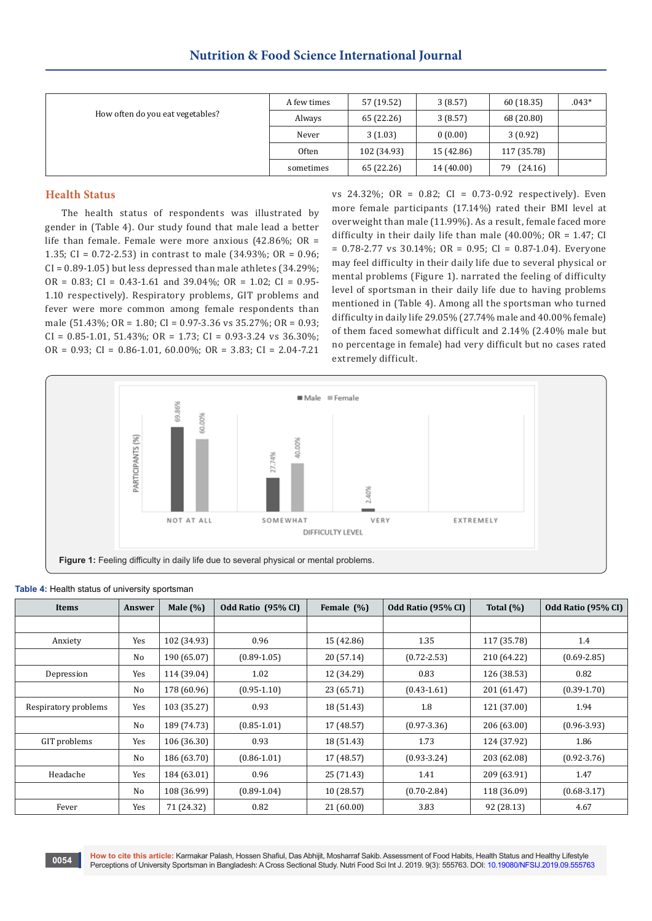|                                  | A few times | 57 (19.52)  | 3(8.57)    | 60 (18.35)    | $.043*$ |
|----------------------------------|-------------|-------------|------------|---------------|---------|
| How often do you eat vegetables? | Always      | 65 (22.26)  | 3(8.57)    | 68 (20.80)    |         |
|                                  | Never       | 3(1.03)     | 0(0.00)    | 3(0.92)       |         |
|                                  | Often       | 102 (34.93) | 15 (42.86) | 117 (35.78)   |         |
|                                  | sometimes   | 65 (22.26)  | 14 (40.00) | (24.16)<br>79 |         |

## **Health Status**

The health status of respondents was illustrated by gender in (Table 4). Our study found that male lead a better life than female. Female were more anxious (42.86%; OR = 1.35; CI = 0.72-2.53) in contrast to male (34.93%; OR = 0.96;  $CI = 0.89 - 1.05$ ) but less depressed than male athletes (34.29%;  $OR = 0.83$ ;  $CI = 0.43 - 1.61$  and  $39.04\%$ ;  $OR = 1.02$ ;  $CI = 0.95 - 1.02$ 1.10 respectively). Respiratory problems, GIT problems and fever were more common among female respondents than male (51.43%; OR = 1.80; CI = 0.97-3.36 vs 35.27%; OR = 0.93;  $CI = 0.85 - 1.01$ , 51.43%;  $OR = 1.73$ ;  $CI = 0.93 - 3.24$  vs 36.30%; OR =  $0.93$ ; CI =  $0.86 - 1.01$ ,  $60.00\%$ ; OR =  $3.83$ ; CI =  $2.04 - 7.21$ 

vs 24.32%; OR = 0.82; CI = 0.73-0.92 respectively). Even more female participants (17.14%) rated their BMI level at overweight than male (11.99%). As a result, female faced more difficulty in their daily life than male  $(40.00\%; OR = 1.47; CI)$  $= 0.78 - 2.77$  vs  $30.14\%$ ; OR  $= 0.95$ ; CI  $= 0.87 - 1.04$ ). Everyone may feel difficulty in their daily life due to several physical or mental problems (Figure 1). narrated the feeling of difficulty level of sportsman in their daily life due to having problems mentioned in (Table 4). Among all the sportsman who turned difficulty in daily life 29.05% (27.74% male and 40.00% female) of them faced somewhat difficult and 2.14% (2.40% male but no percentage in female) had very difficult but no cases rated extremely difficult.



| Items                | Answer | Male $(\%)$ | Odd Ratio (95% CI) | Female (%) | Odd Ratio (95% CI) | Total $(\%)$ | Odd Ratio (95% CI) |
|----------------------|--------|-------------|--------------------|------------|--------------------|--------------|--------------------|
|                      |        |             |                    |            |                    |              |                    |
| Anxiety              | Yes    | 102 (34.93) | 0.96               | 15 (42.86) | 1.35               | 117 (35.78)  | 1.4                |
|                      | No     | 190 (65.07) | $(0.89 - 1.05)$    | 20 (57.14) | $(0.72 - 2.53)$    | 210 (64.22)  | $(0.69 - 2.85)$    |
| Depression           | Yes    | 114 (39.04) | 1.02               | 12 (34.29) | 0.83               | 126 (38.53)  | 0.82               |
|                      | No     | 178 (60.96) | $(0.95 - 1.10)$    | 23 (65.71) | $(0.43 - 1.61)$    | 201 (61.47)  | $(0.39 - 1.70)$    |
| Respiratory problems | Yes    | 103 (35.27) | 0.93               | 18 (51.43) | 1.8                | 121 (37.00)  | 1.94               |
|                      | No     | 189 (74.73) | $(0.85 - 1.01)$    | 17 (48.57) | $(0.97 - 3.36)$    | 206 (63.00)  | $(0.96 - 3.93)$    |
| GIT problems         | Yes    | 106 (36.30) | 0.93               | 18 (51.43) | 1.73               | 124 (37.92)  | 1.86               |
|                      | No     | 186 (63.70) | $(0.86 - 1.01)$    | 17 (48.57) | $(0.93 - 3.24)$    | 203 (62.08)  | $(0.92 - 3.76)$    |
| Headache             | Yes    | 184 (63.01) | 0.96               | 25 (71.43) | 1.41               | 209 (63.91)  | 1.47               |
|                      | No     | 108 (36.99) | $(0.89 - 1.04)$    | 10 (28.57) | $(0.70 - 2.84)$    | 118 (36.09)  | $(0.68 - 3.17)$    |
| Fever                | Yes    | 71 (24.32)  | 0.82               | 21(60.00)  | 3.83               | 92 (28.13)   | 4.67               |

#### **Table 4:** Health status of university sportsman

**How to cite this article:** Karmakar Palash, Hossen Shafiul, Das Abhijit, Mosharraf Sakib. Assessment of Food Habits, Health Status and Healthy Lifestyle Purport of University Sportsman Healthy Lifestyle Sportsman in Bangladesh: A Cross Sectional Study. Nutri Food Sci Int J. 2019. 9(3): 555763. DOI: [10.19080/NFSIJ.2019.09.555763](http://dx.doi.org/10.19080/NFSIJ.2019.09.555763) Perceptions of University Sportsman in Bangla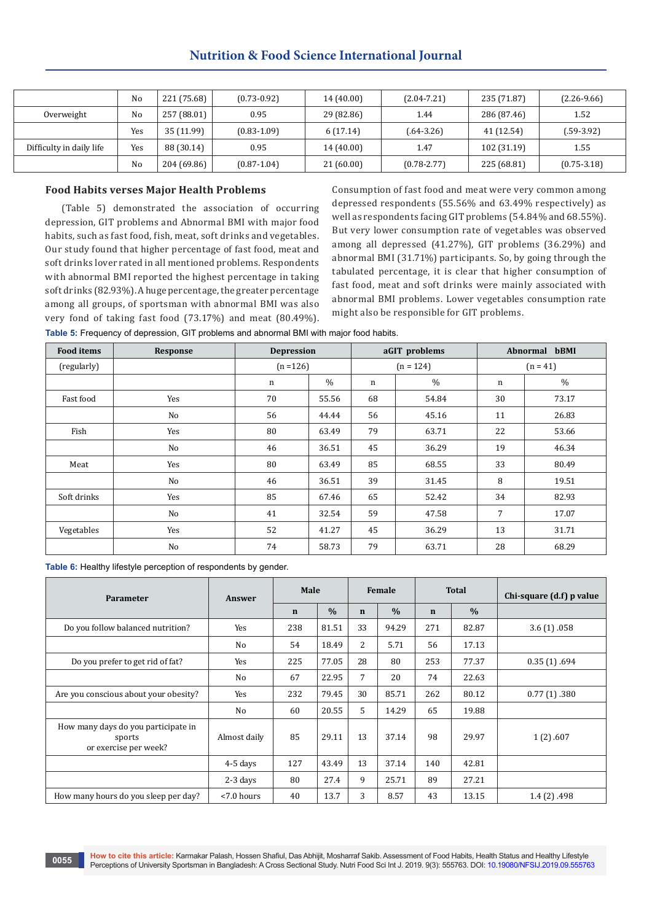## **Nutrition & Food Science International Journal**

|                          | No  | 221 (75.68) | $(0.73 - 0.92)$ | 14 (40.00) | $(2.04 - 7.21)$ | 235 (71.87) | $(2.26-9.66)$   |
|--------------------------|-----|-------------|-----------------|------------|-----------------|-------------|-----------------|
| Overweight               | No  | 257 (88.01) | 0.95            | 29 (82.86) | 1.44            | 286 (87.46) | 1.52            |
|                          | Yes | 35 (11.99)  | $(0.83 - 1.09)$ | 6(17.14)   | $(.64-3.26)$    | 41 (12.54)  | $(.59-3.92)$    |
| Difficulty in daily life | Yes | 88 (30.14)  | 0.95            | 14 (40.00) | 1.47            | 102 (31.19) | 1.55            |
|                          | No  | 204 (69.86) | $(0.87 - 1.04)$ | 21(60.00)  | $(0.78 - 2.77)$ | 225 (68.81) | $(0.75 - 3.18)$ |

## **Food Habits verses Major Health Problems**

(Table 5) demonstrated the association of occurring depression, GIT problems and Abnormal BMI with major food habits, such as fast food, fish, meat, soft drinks and vegetables. Our study found that higher percentage of fast food, meat and soft drinks lover rated in all mentioned problems. Respondents with abnormal BMI reported the highest percentage in taking soft drinks (82.93%). A huge percentage, the greater percentage among all groups, of sportsman with abnormal BMI was also very fond of taking fast food (73.17%) and meat (80.49%).

Consumption of fast food and meat were very common among depressed respondents (55.56% and 63.49% respectively) as well as respondents facing GIT problems (54.84% and 68.55%). But very lower consumption rate of vegetables was observed among all depressed (41.27%), GIT problems (36.29%) and abnormal BMI (31.71%) participants. So, by going through the tabulated percentage, it is clear that higher consumption of fast food, meat and soft drinks were mainly associated with abnormal BMI problems. Lower vegetables consumption rate might also be responsible for GIT problems.

**Table 5:** Frequency of depression, GIT problems and abnormal BMI with major food habits.

| <b>Food items</b> | <b>Response</b> | <b>Depression</b> |       |    | aGIT problems | Abnormal<br>bBMI |               |  |
|-------------------|-----------------|-------------------|-------|----|---------------|------------------|---------------|--|
| (regularly)       |                 | $(n = 126)$       |       |    | $(n = 124)$   | $(n = 41)$       |               |  |
|                   |                 | n                 | $\%$  | n  | $\%$          | n                | $\frac{0}{0}$ |  |
| Fast food         | Yes             | 70                | 55.56 | 68 | 54.84         | 30               | 73.17         |  |
|                   | No              | 56                | 44.44 | 56 | 45.16         | 11               | 26.83         |  |
| Fish              | Yes             | 80                | 63.49 | 79 | 63.71         | 22               | 53.66         |  |
|                   | No              | 46                | 36.51 | 45 | 36.29         | 19               | 46.34         |  |
| Meat              | Yes             | 80                | 63.49 | 85 | 68.55         | 33               | 80.49         |  |
|                   | No              | 46                | 36.51 | 39 | 31.45         | 8                | 19.51         |  |
| Soft drinks       | Yes             | 85                | 67.46 | 65 | 52.42         | 34               | 82.93         |  |
|                   | No              | 41                | 32.54 | 59 | 47.58         | 7                | 17.07         |  |
| Vegetables        | Yes             | 52                | 41.27 | 45 | 36.29         | 13               | 31.71         |  |
|                   | No              | 74                | 58.73 | 79 | 63.71         | 28               | 68.29         |  |

**Table 6:** Healthy lifestyle perception of respondents by gender.

| <b>Parameter</b>                                                       | Answer        | Male        |               | Female      |               |             | <b>Total</b>  | Chi-square (d.f) p value |
|------------------------------------------------------------------------|---------------|-------------|---------------|-------------|---------------|-------------|---------------|--------------------------|
|                                                                        |               | $\mathbf n$ | $\frac{0}{0}$ | $\mathbf n$ | $\frac{0}{0}$ | $\mathbf n$ | $\frac{0}{0}$ |                          |
| Do you follow balanced nutrition?                                      | Yes           | 238         | 81.51         | 33          | 94.29         | 271         | 82.87         | 3.6(1) .058              |
|                                                                        | No            | 54          | 18.49         | 2           | 5.71          | 56          | 17.13         |                          |
| Do you prefer to get rid of fat?                                       | Yes           | 225         | 77.05         | 28          | 80            | 253         | 77.37         | 0.35(1) .694             |
|                                                                        | No            | 67          | 22.95         | 7           | 20            | 74          | 22.63         |                          |
| Are you conscious about your obesity?                                  | Yes           | 232         | 79.45         | 30          | 85.71         | 262         | 80.12         | 0.77(1) .380             |
|                                                                        | No            | 60          | 20.55         | 5           | 14.29         | 65          | 19.88         |                          |
| How many days do you participate in<br>sports<br>or exercise per week? | Almost daily  | 85          | 29.11         | 13          | 37.14         | 98          | 29.97         | 1(2) .607                |
|                                                                        | $4-5$ days    | 127         | 43.49         | 13          | 37.14         | 140         | 42.81         |                          |
|                                                                        | $2-3$ days    | 80          | 27.4          | 9           | 25.71         | 89          | 27.21         |                          |
| How many hours do you sleep per day?                                   | $< 7.0$ hours | 40          | 13.7          | 3           | 8.57          | 43          | 13.15         | 1.4(2) .498              |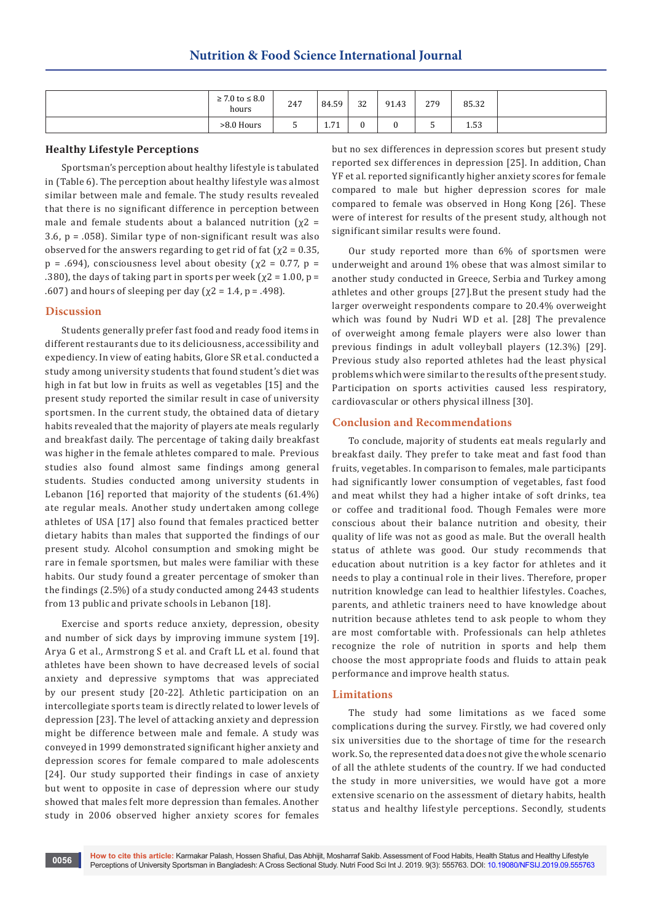| $\geq 7.0$ to $\leq 8.0$<br>hours | 247         | 84.59          | 32 | 91.43 | 279                           | 85.32 |  |
|-----------------------------------|-------------|----------------|----|-------|-------------------------------|-------|--|
| >8.0 Hours                        | $\sim$<br>ັ | 74<br>$\pm 11$ | u  |       | $\overline{\phantom{a}}$<br>ັ | 1.53  |  |

#### **Healthy Lifestyle Perceptions**

Sportsman's perception about healthy lifestyle is tabulated in (Table 6). The perception about healthy lifestyle was almost similar between male and female. The study results revealed that there is no significant difference in perception between male and female students about a balanced nutrition ( $\chi$ 2 = 3.6, p = .058). Similar type of non-significant result was also observed for the answers regarding to get rid of fat ( $\chi$ 2 = 0.35,  $p = .694$ ), consciousness level about obesity ( $\chi$ 2 = 0.77,  $p =$ .380), the days of taking part in sports per week ( $\chi$ 2 = 1.00, p = .607) and hours of sleeping per day ( $\chi$ 2 = 1.4, p = .498).

#### **Discussion**

Students generally prefer fast food and ready food items in different restaurants due to its deliciousness, accessibility and expediency. In view of eating habits, Glore SR et al. conducted a study among university students that found student's diet was high in fat but low in fruits as well as vegetables [15] and the present study reported the similar result in case of university sportsmen. In the current study, the obtained data of dietary habits revealed that the majority of players ate meals regularly and breakfast daily. The percentage of taking daily breakfast was higher in the female athletes compared to male. Previous studies also found almost same findings among general students. Studies conducted among university students in Lebanon [16] reported that majority of the students (61.4%) ate regular meals. Another study undertaken among college athletes of USA [17] also found that females practiced better dietary habits than males that supported the findings of our present study. Alcohol consumption and smoking might be rare in female sportsmen, but males were familiar with these habits. Our study found a greater percentage of smoker than the findings (2.5%) of a study conducted among 2443 students from 13 public and private schools in Lebanon [18].

Exercise and sports reduce anxiety, depression, obesity and number of sick days by improving immune system [19]. Arya G et al., Armstrong S et al. and Craft LL et al. found that athletes have been shown to have decreased levels of social anxiety and depressive symptoms that was appreciated by our present study [20-22]. Athletic participation on an intercollegiate sports team is directly related to lower levels of depression [23]. The level of attacking anxiety and depression might be difference between male and female. A study was conveyed in 1999 demonstrated significant higher anxiety and depression scores for female compared to male adolescents [24]. Our study supported their findings in case of anxiety but went to opposite in case of depression where our study showed that males felt more depression than females. Another study in 2006 observed higher anxiety scores for females

but no sex differences in depression scores but present study reported sex differences in depression [25]. In addition, Chan YF et al. reported significantly higher anxiety scores for female compared to male but higher depression scores for male compared to female was observed in Hong Kong [26]. These were of interest for results of the present study, although not significant similar results were found.

Our study reported more than 6% of sportsmen were underweight and around 1% obese that was almost similar to another study conducted in Greece, Serbia and Turkey among athletes and other groups [27].But the present study had the larger overweight respondents compare to 20.4% overweight which was found by Nudri WD et al. [28] The prevalence of overweight among female players were also lower than previous findings in adult volleyball players (12.3%) [29]. Previous study also reported athletes had the least physical problems which were similar to the results of the present study. Participation on sports activities caused less respiratory, cardiovascular or others physical illness [30].

#### **Conclusion and Recommendations**

To conclude, majority of students eat meals regularly and breakfast daily. They prefer to take meat and fast food than fruits, vegetables. In comparison to females, male participants had significantly lower consumption of vegetables, fast food and meat whilst they had a higher intake of soft drinks, tea or coffee and traditional food. Though Females were more conscious about their balance nutrition and obesity, their quality of life was not as good as male. But the overall health status of athlete was good. Our study recommends that education about nutrition is a key factor for athletes and it needs to play a continual role in their lives. Therefore, proper nutrition knowledge can lead to healthier lifestyles. Coaches, parents, and athletic trainers need to have knowledge about nutrition because athletes tend to ask people to whom they are most comfortable with. Professionals can help athletes recognize the role of nutrition in sports and help them choose the most appropriate foods and fluids to attain peak performance and improve health status.

#### **Limitations**

The study had some limitations as we faced some complications during the survey. Firstly, we had covered only six universities due to the shortage of time for the research work. So, the represented data does not give the whole scenario of all the athlete students of the country. If we had conducted the study in more universities, we would have got a more extensive scenario on the assessment of dietary habits, health status and healthy lifestyle perceptions. Secondly, students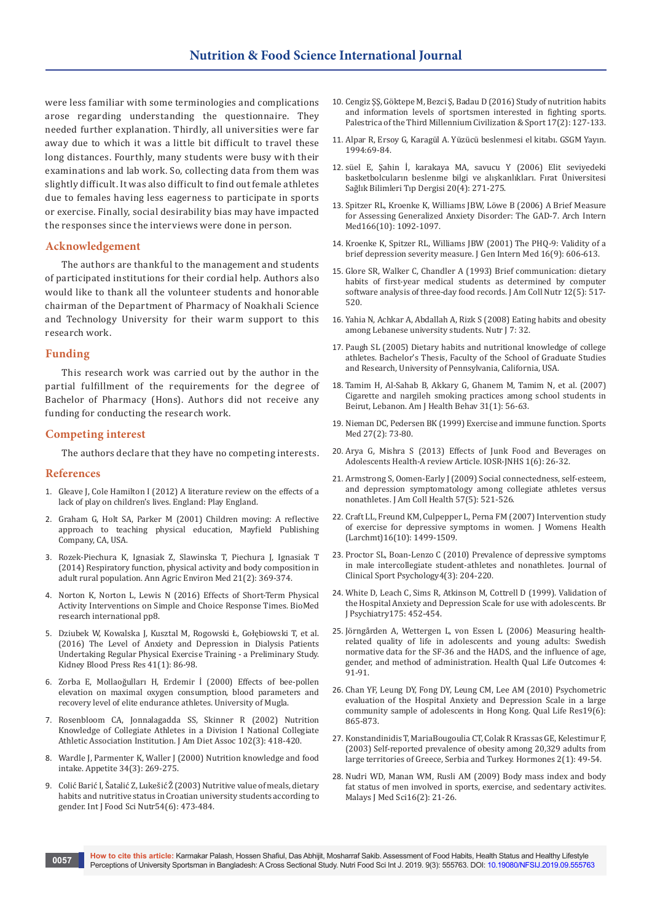were less familiar with some terminologies and complications arose regarding understanding the questionnaire. They needed further explanation. Thirdly, all universities were far away due to which it was a little bit difficult to travel these long distances. Fourthly, many students were busy with their examinations and lab work. So, collecting data from them was slightly difficult. It was also difficult to find out female athletes due to females having less eagerness to participate in sports or exercise. Finally, social desirability bias may have impacted the responses since the interviews were done in person.

## **Acknowledgement**

The authors are thankful to the management and students of participated institutions for their cordial help. Authors also would like to thank all the volunteer students and honorable chairman of the Department of Pharmacy of Noakhali Science and Technology University for their warm support to this research work.

#### **Funding**

This research work was carried out by the author in the partial fulfillment of the requirements for the degree of Bachelor of Pharmacy (Hons). Authors did not receive any funding for conducting the research work.

#### **Competing interest**

The authors declare that they have no competing interests.

#### **References**

- 1. Gleave J, Cole Hamilton I (2012) A literature review on the effects of a lack of play on children's lives. England: Play England.
- 2. [Graham G, Holt SA, Parker M \(2001\) Children moving: A reflective](https://www.worldcat.org/title/children-moving-a-reflective-approach-to-teaching-physical-education/oclc/44592651?page=citation)  [approach to teaching physical education, Mayfield Publishing](https://www.worldcat.org/title/children-moving-a-reflective-approach-to-teaching-physical-education/oclc/44592651?page=citation)  [Company, CA, USA.](https://www.worldcat.org/title/children-moving-a-reflective-approach-to-teaching-physical-education/oclc/44592651?page=citation)
- 3. [Rozek-Piechura K, Ignasiak Z, Slawinska T, Piechura J, Ignasiak T](https://www.ncbi.nlm.nih.gov/pubmed/24959792)  [\(2014\) Respiratory function, physical activity and body composition in](https://www.ncbi.nlm.nih.gov/pubmed/24959792)  [adult rural population. Ann Agric Environ Med 21\(2\): 369-374.](https://www.ncbi.nlm.nih.gov/pubmed/24959792)
- 4. [Norton K, Norton L, Lewis N \(2016\) Effects of Short-Term Physical](https://www.hindawi.com/journals/bmri/2016/5613767/)  [Activity Interventions on Simple and Choice Response Times. BioMed](https://www.hindawi.com/journals/bmri/2016/5613767/)  [research international pp8.](https://www.hindawi.com/journals/bmri/2016/5613767/)
- 5. [Dziubek W, Kowalska J, Kusztal M, Rogowski Ł, Gołębiowski T, et al.](https://www.ncbi.nlm.nih.gov/pubmed/26872253)  [\(2016\) The Level of Anxiety and Depression in Dialysis Patients](https://www.ncbi.nlm.nih.gov/pubmed/26872253)  [Undertaking Regular Physical Exercise Training - a Preliminary Study.](https://www.ncbi.nlm.nih.gov/pubmed/26872253)  [Kidney Blood Press Res 41\(1\): 86-98.](https://www.ncbi.nlm.nih.gov/pubmed/26872253)
- 6. Zorba E, Mollaoğulları H, Erdemir İ (2000) Effects of bee-pollen elevation on maximal oxygen consumption, blood parameters and recovery level of elite endurance athletes. University of Mugla.
- 7. [Rosenbloom CA, Jonnalagadda SS, Skinner R \(2002\) Nutrition](https://www.ncbi.nlm.nih.gov/pubmed/11902379)  [Knowledge of Collegiate Athletes in a Division I National Collegiate](https://www.ncbi.nlm.nih.gov/pubmed/11902379)  [Athletic Association Institution. J Am Diet Assoc 102\(3\): 418-420.](https://www.ncbi.nlm.nih.gov/pubmed/11902379)
- 8. [Wardle J, Parmenter K, Waller J \(2000\) Nutrition knowledge and food](https://www.ncbi.nlm.nih.gov/pubmed/10888290)  [intake. Appetite 34\(3\): 269-275.](https://www.ncbi.nlm.nih.gov/pubmed/10888290)
- 9. [Colić Barić I, Šatalić Z, Lukešić Ž \(2003\) Nutritive value of meals, dietary](https://www.ncbi.nlm.nih.gov/pubmed/14522693)  [habits and nutritive status in Croatian university students according to](https://www.ncbi.nlm.nih.gov/pubmed/14522693)  [gender. Int J Food Sci Nutr54\(6\): 473-484.](https://www.ncbi.nlm.nih.gov/pubmed/14522693)
- 10. [Cengiz ŞŞ, Göktepe M, Bezci Ş, Badau D \(2016\) Study of nutrition habits](https://web.b.ebscohost.com/abstract?direct=true&profile=ehost&scope=site&authtype=crawler&jrnl=15821943&AN=117200022&h=y1X%2by6MLw9mVzFUJJZJpznufFC6rFWjf0ekWhlbMnrv8tERaeu8PwCfyQL%2b0jExJBHUu5%2bJcEBn0qidX6Jm%2bQw%3d%3d&crl=c&resultNs=AdminWebAuth&resultLocal=ErrCrlNotAuth&crlhashurl=login.aspx%3fdirect%3dtrue%26profile%3dehost%26scope%3dsite%26authtype%3dcrawler%26jrnl%3d15821943%26AN%3d117200022)  [and information levels of sportsmen interested in fighting sports.](https://web.b.ebscohost.com/abstract?direct=true&profile=ehost&scope=site&authtype=crawler&jrnl=15821943&AN=117200022&h=y1X%2by6MLw9mVzFUJJZJpznufFC6rFWjf0ekWhlbMnrv8tERaeu8PwCfyQL%2b0jExJBHUu5%2bJcEBn0qidX6Jm%2bQw%3d%3d&crl=c&resultNs=AdminWebAuth&resultLocal=ErrCrlNotAuth&crlhashurl=login.aspx%3fdirect%3dtrue%26profile%3dehost%26scope%3dsite%26authtype%3dcrawler%26jrnl%3d15821943%26AN%3d117200022)  [Palestrica of the Third Millennium Civilization & Sport 17\(2\): 127-133.](https://web.b.ebscohost.com/abstract?direct=true&profile=ehost&scope=site&authtype=crawler&jrnl=15821943&AN=117200022&h=y1X%2by6MLw9mVzFUJJZJpznufFC6rFWjf0ekWhlbMnrv8tERaeu8PwCfyQL%2b0jExJBHUu5%2bJcEBn0qidX6Jm%2bQw%3d%3d&crl=c&resultNs=AdminWebAuth&resultLocal=ErrCrlNotAuth&crlhashurl=login.aspx%3fdirect%3dtrue%26profile%3dehost%26scope%3dsite%26authtype%3dcrawler%26jrnl%3d15821943%26AN%3d117200022)
- 11. Alpar R, Ersoy G, Karagül A. Yüzücü beslenmesi el kitabı. GSGM Yayın. 1994:69-84.
- 12. s[üel E, Şahin İ, karakaya MA, savucu Y \(2006\) Elit seviyedeki](http://tip.fusabil.org/summary.php3?id=446)  [basketbolcuların beslenme bilgi ve alışkanlıkları. Fırat Üniversitesi](http://tip.fusabil.org/summary.php3?id=446)  [Sağlık Bilimleri Tıp Dergisi 20\(4\): 271-275.](http://tip.fusabil.org/summary.php3?id=446)
- 13. [Spitzer RL, Kroenke K, Williams JBW, Löwe B \(2006\) A Brief Measure](https://www.ncbi.nlm.nih.gov/pubmed/16717171)  [for Assessing Generalized Anxiety Disorder: The GAD-7. Arch Intern](https://www.ncbi.nlm.nih.gov/pubmed/16717171)  [Med166\(10\): 1092-1097.](https://www.ncbi.nlm.nih.gov/pubmed/16717171)
- 14. [Kroenke K, Spitzer RL, Williams JBW \(2001\) The PHQ-9: Validity of a](https://www.ncbi.nlm.nih.gov/pubmed/11556941)  [brief depression severity measure. J Gen Intern Med 16\(9\): 606-613.](https://www.ncbi.nlm.nih.gov/pubmed/11556941)
- 15. [Glore SR, Walker C, Chandler A \(1993\) Brief communication: dietary](https://www.ncbi.nlm.nih.gov/pubmed/8263266)  [habits of first-year medical students as determined by computer](https://www.ncbi.nlm.nih.gov/pubmed/8263266)  [software analysis of three-day food records. J Am Coll Nutr 12\(5\): 517-](https://www.ncbi.nlm.nih.gov/pubmed/8263266) [520.](https://www.ncbi.nlm.nih.gov/pubmed/8263266)
- 16. [Yahia N, Achkar A, Abdallah A, Rizk S \(2008\) Eating habits and obesity](https://www.ncbi.nlm.nih.gov/pubmed/18973661)  [among Lebanese university students. Nutr J 7: 32.](https://www.ncbi.nlm.nih.gov/pubmed/18973661)
- 17. [Paugh SL \(2005\) Dietary habits and nutritional knowledge of college](http://libweb.calu.edu/thesis/umi-cup-1011.pdf)  [athletes. Bachelor's Thesis, Faculty of the School of Graduate Studies](http://libweb.calu.edu/thesis/umi-cup-1011.pdf)  [and Research, University of Pennsylvania, California, USA.](http://libweb.calu.edu/thesis/umi-cup-1011.pdf)
- 18. [Tamim H, Al-Sahab B, Akkary G, Ghanem M, Tamim N, et al. \(2007\)](https://www.ncbi.nlm.nih.gov/pubmed/17181462)  [Cigarette and nargileh smoking practices among school students in](https://www.ncbi.nlm.nih.gov/pubmed/17181462)  [Beirut, Lebanon. Am J Health Behav 31\(1\): 56-63.](https://www.ncbi.nlm.nih.gov/pubmed/17181462)
- 19. [Nieman DC, Pedersen BK \(1999\) Exercise and immune function. Sports](https://www.ncbi.nlm.nih.gov/pubmed/10091272)  [Med 27\(2\): 73-80.](https://www.ncbi.nlm.nih.gov/pubmed/10091272)
- 20. [Arya G, Mishra S \(2013\) Effects of Junk Food and Beverages on](http://iosrjournals.org/iosr-jnhs/papers/vol1-issue6/F0162632.pdf?id=6560)  [Adolescents Health-A review Article. IOSR-JNHS 1\(6\): 26-32.](http://iosrjournals.org/iosr-jnhs/papers/vol1-issue6/F0162632.pdf?id=6560)
- 21. [Armstrong S, Oomen-Early J \(2009\) Social connectedness, self-esteem,](https://www.ncbi.nlm.nih.gov/pubmed/19254893)  [and depression symptomatology among collegiate athletes versus](https://www.ncbi.nlm.nih.gov/pubmed/19254893)  [nonathletes. J Am Coll Health 57\(5\): 521-526.](https://www.ncbi.nlm.nih.gov/pubmed/19254893)
- 22. [Craft LL, Freund KM, Culpepper L, Perna FM \(2007\) Intervention study](https://www.ncbi.nlm.nih.gov/pubmed/18062765)  [of exercise for depressive symptoms in women. J Womens Health](https://www.ncbi.nlm.nih.gov/pubmed/18062765)  [\(Larchmt\)16\(10\): 1499-1509.](https://www.ncbi.nlm.nih.gov/pubmed/18062765)
- 23. [Proctor SL, Boan-Lenzo C \(2010\) Prevalence of depressive symptoms](https://psycnet.apa.org/record/2010-24198-003)  [in male intercollegiate student-athletes and nonathletes. Journal of](https://psycnet.apa.org/record/2010-24198-003)  [Clinical Sport Psychology4\(3\): 204-220.](https://psycnet.apa.org/record/2010-24198-003)
- 24. [White D, Leach C, Sims R, Atkinson M, Cottrell D \(1999\). Validation of](https://www.ncbi.nlm.nih.gov/pubmed/10789277)  [the Hospital Anxiety and Depression Scale for use with adolescents. Br](https://www.ncbi.nlm.nih.gov/pubmed/10789277)  [J Psychiatry175: 452-454.](https://www.ncbi.nlm.nih.gov/pubmed/10789277)
- 25. [Jörngården A, Wettergen L, von Essen L \(2006\) Measuring health](https://www.ncbi.nlm.nih.gov/pubmed/17140436)[related quality of life in adolescents and young adults: Swedish](https://www.ncbi.nlm.nih.gov/pubmed/17140436)  [normative data for the SF-36 and the HADS, and the influence of age,](https://www.ncbi.nlm.nih.gov/pubmed/17140436)  [gender, and method of administration. Health Qual Life Outcomes 4:](https://www.ncbi.nlm.nih.gov/pubmed/17140436)  [91-91.](https://www.ncbi.nlm.nih.gov/pubmed/17140436)
- 26. [Chan YF, Leung DY, Fong DY, Leung CM, Lee AM \(2010\) Psychometric](https://www.ncbi.nlm.nih.gov/pubmed/20373037)  [evaluation of the Hospital Anxiety and Depression Scale in a large](https://www.ncbi.nlm.nih.gov/pubmed/20373037)  [community sample of adolescents in Hong Kong. Qual Life Res19\(6\):](https://www.ncbi.nlm.nih.gov/pubmed/20373037)  [865-873.](https://www.ncbi.nlm.nih.gov/pubmed/20373037)
- 27. [Konstandinidis T, MariaBougoulia CT, Colak R Krassas GE, Kelestimur F,](https://www.ncbi.nlm.nih.gov/pubmed/17003002)  [\(2003\) Self-reported prevalence of obesity among 20,329 adults from](https://www.ncbi.nlm.nih.gov/pubmed/17003002)  [large territories of Greece, Serbia and Turkey. Hormones 2\(1\): 49-54.](https://www.ncbi.nlm.nih.gov/pubmed/17003002)
- 28. [Nudri WD, Manan WM, Rusli AM \(2009\) Body mass index and body](https://www.ncbi.nlm.nih.gov/pubmed/22589654)  [fat status of men involved in sports, exercise, and sedentary activites.](https://www.ncbi.nlm.nih.gov/pubmed/22589654)  [Malays J Med Sci16\(2\): 21-26.](https://www.ncbi.nlm.nih.gov/pubmed/22589654)